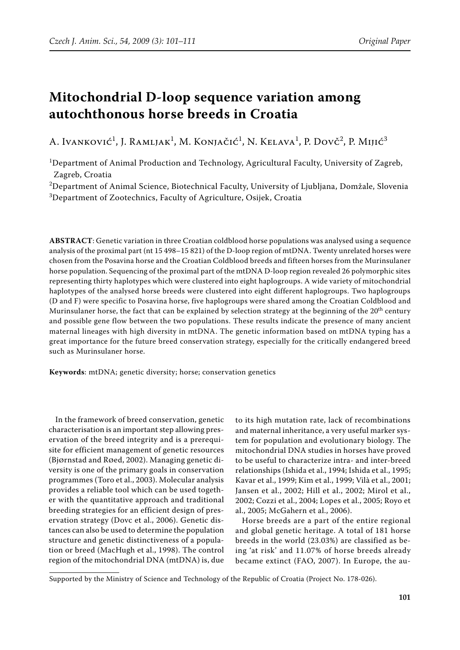# **Mitochondrial D-loop sequence variation among autochthonous horse breeds in Croatia**

A. Ivanković<sup>1</sup>, J. Ramljak<sup>1</sup>, M. Konjačić<sup>1</sup>, N. Kelava<sup>1</sup>, P. Dovč<sup>2</sup>, P. Mijić<sup>3</sup>

<sup>1</sup>Department of Animal Production and Technology, Agricultural Faculty, University of Zagreb, Zagreb, Croatia

 $^{\rm 2}$ Department of Animal Science, Biotechnical Faculty, University of Ljubljana, Domžale, Slovenia  $^3$ Department of Zootechnics, Faculty of Agriculture, Osijek, Croatia

**ABSTRACT**: Genetic variation in three Croatian coldblood horse populations was analysed using a sequence analysis of the proximal part (nt 15 498–15 821) of the D-loop region of mtDNA. Twenty unrelated horses were chosen from the Posavina horse and the Croatian Coldblood breeds and fifteen horses from the Murinsulaner horse population. Sequencing of the proximal part of the mtDNA D-loop region revealed 26 polymorphic sites representing thirty haplotypes which were clustered into eight haplogroups. A wide variety of mitochondrial haplotypes of the analysed horse breeds were clustered into eight different haplogroups. Two haplogroups (D and F) were specific to Posavina horse, five haplogroups were shared among the Croatian Coldblood and Murinsulaner horse, the fact that can be explained by selection strategy at the beginning of the  $20^{th}$  century and possible gene flow between the two populations. These results indicate the presence of many ancient maternal lineages with high diversity in mtDNA. The genetic information based on mtDNA typing has a great importance for the future breed conservation strategy, especially for the critically endangered breed such as Murinsulaner horse.

**Keywords**: mtDNA; genetic diversity; horse; conservation genetics

In the framework of breed conservation, genetic characterisation is an important step allowing preservation of the breed integrity and is a prerequisite for efficient management of genetic resources (BjØrnstad and RØed, 2002). Managing genetic diversity is one of the primary goals in conservation programmes (Toro et al., 2003). Molecular analysis provides a reliable tool which can be used together with the quantitative approach and traditional breeding strategies for an efficient design of preservation strategy (Dovc et al., 2006). Genetic distances can also be used to determine the population structure and genetic distinctiveness of a population or breed (MacHugh et al., 1998). The control region of the mitochondrial DNA (mtDNA) is, due

to its high mutation rate, lack of recombinations and maternal inheritance, a very useful marker system for population and evolutionary biology. The mitochondrial DNA studies in horses have proved to be useful to characterize intra- and inter-breed relationships (Ishida et al., 1994; Ishida et al., 1995; Kavar et al., 1999; Kim et al., 1999; Vilà et al., 2001; Jansen et al., 2002; Hill et al., 2002; Mirol et al., 2002; Cozzi et al., 2004; Lopes et al., 2005; Royo et al., 2005; McGahern et al., 2006).

Horse breeds are a part of the entire regional and global genetic heritage. A total of 181 horse breeds in the world (23.03%) are classified as being 'at risk' and 11.07% of horse breeds already became extinct (FAO, 2007). In Europe, the au-

Supported by the Ministry of Science and Technology of the Republic of Croatia (Project No. 178-026).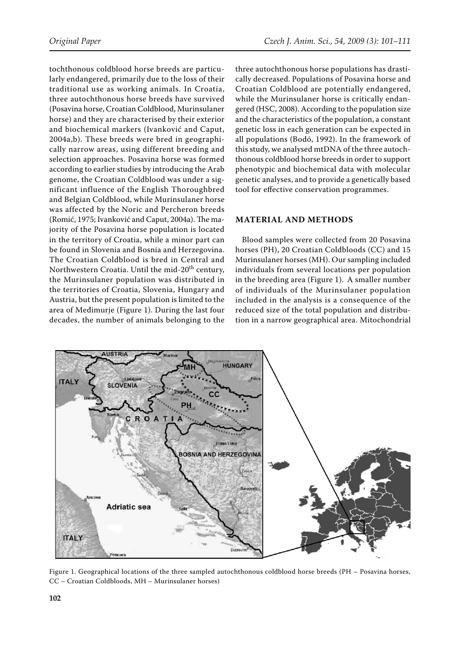tochthonous coldblood horse breeds are particularly endangered, primarily due to the loss of their traditional use as working animals. In Croatia, three autochthonous horse breeds have survived (Posavina horse, Croatian Coldblood, Murinsulaner horse) and they are characterised by their exterior and biochemical markers (Ivanković and Caput, 2004a,b). These breeds were bred in geographically narrow areas, using different breeding and selection approaches. Posavina horse was formed according to earlier studies by introducing the Arab genome, the Croatian Coldblood was under a significant influence of the English Thoroughbred and Belgian Coldblood, while Murinsulaner horse was affected by the Noric and Percheron breeds (Romić, 1975; Ivanković and Caput, 2004a). The majority of the Posavina horse population is located in the territory of Croatia, while a minor part can be found in Slovenia and Bosnia and Herzegovina. The Croatian Coldblood is bred in Central and Northwestern Croatia. Until the mid-20<sup>th</sup> century, the Murinsulaner population was distributed in the territories of Croatia, Slovenia, Hungary and Austria, but the present population is limited to the area of Međimurje (Figure 1). During the last four decades, the number of animals belonging to the three autochthonous horse populations has drastically decreased. Populations of Posavina horse and Croatian Coldblood are potentially endangered, while the Murinsulaner horse is critically endangered (HSC, 2008). According to the population size and the characteristics of the population, a constant genetic loss in each generation can be expected in all populations (Bodó, 1992). In the framework of this study, we analysed mtDNA of the three autochthonous coldblood horse breeds in order to support phenotypic and biochemical data with molecular genetic analyses, and to provide a genetically based tool for effective conservation programmes.

## **MATERIAL AND METHODS**

Blood samples were collected from 20 Posavina horses (PH), 20 Croatian Coldbloods (CC) and 15 Murinsulaner horses (MH). Our sampling included individuals from several locations per population in the breeding area (Figure 1). A smaller number of individuals of the Murinsulaner population included in the analysis is a consequence of the reduced size of the total population and distribution in a narrow geographical area. Mitochondrial



Figure 1. Geographical locations of the three sampled autochthonous coldblood horse breeds (PH – Posavina horses, CC – Croatian Coldbloods, MH – Murinsulaner horses)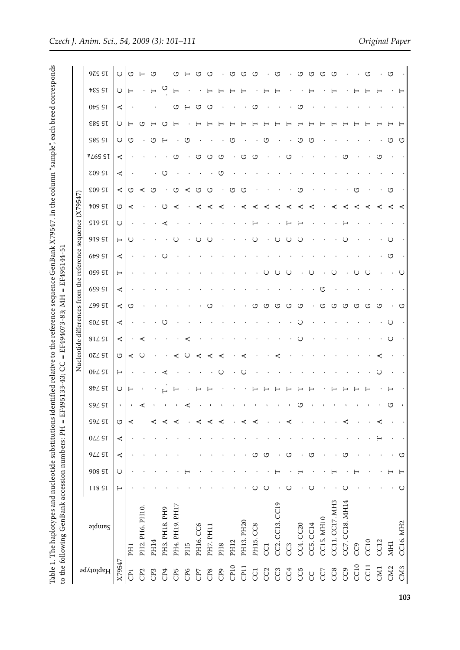|                  | Table 1. The haplotypes and nucleotide substitutions identified relative to the reference sequence GenBank X79547. In the column "sample", each breed corresponds<br>to the following GenBank accession numbers: PH |        |        |                |        | $\, \parallel$ | EF <sub>4</sub> | 495133-43; CC |         | $\rm H$ |        |               | EF494073-83; MH                                             | $\mathbf{I}$ | EF495144-51 |        |        |        |               |               |                           |               |               |        |               |        |  |
|------------------|---------------------------------------------------------------------------------------------------------------------------------------------------------------------------------------------------------------------|--------|--------|----------------|--------|----------------|-----------------|---------------|---------|---------|--------|---------------|-------------------------------------------------------------|--------------|-------------|--------|--------|--------|---------------|---------------|---------------------------|---------------|---------------|--------|---------------|--------|--|
|                  |                                                                                                                                                                                                                     |        |        |                |        |                |                 |               |         |         |        |               | Nucleotide differences from the reference sequence (X79547) |              |             |        |        |        |               |               |                           |               |               |        |               |        |  |
| <b>Нарlоtype</b> | <b>alquie</b> S                                                                                                                                                                                                     | II8 SI | 908 SI | 9 <i>LL</i> SI | OZZ SI | 99 <i>L</i> SI | <b>894 ST</b>   | 8ÞZ SI        | 07 Z ST | 0ZZ SI  | 817 SI | <b>807 SI</b> | ∠99 SI                                                      | 699 SI       | 099 SI      | 679 SI | 919 SI | SI9 SI | <b>F09 SI</b> | <b>809 SI</b> | $P\angle 69$ SI<br>709 SI | <b>989 SI</b> | <b>885 SI</b> | 0FS SI | <b>PES SI</b> | 97S SI |  |
| X79547           |                                                                                                                                                                                                                     | ⊢      | ◡      | ≺              | ⋖      | ↺              | $\mathbf{I}$    | ◡             | ⊢       | ↺       | ⋖      | ≺             | ≺                                                           | ⋖            | ⊢           | ⋖      | ⊢      | ↺      | ↺             | ≺             | ≺<br>⋖                    | ◡             | ◡             | ≺      | ◡             | Ö      |  |
| C <sub>P</sub>   | <b>PH1</b>                                                                                                                                                                                                          |        |        |                |        | ≺              |                 | ⊢             |         | ⋖       |        |               | ↺                                                           |              |             |        | ◡      |        | ⋖             | ↺             |                           | ↺             | ⊢             |        | ⊢             | ט      |  |
| CP <sub>2</sub>  | PH2. PH6. PH10.                                                                                                                                                                                                     |        |        |                |        |                | ⋖               |               |         |         |        |               |                                                             |              |             |        |        |        |               |               |                           |               | פ             |        |               |        |  |
| C <sub>P</sub> 3 | PH14                                                                                                                                                                                                                |        |        |                |        | ⋖              |                 |               |         |         |        |               |                                                             |              |             |        |        |        |               | U             |                           | פ             |               |        | Н             | U      |  |
| CP4              | PH3. PH18. PH9                                                                                                                                                                                                      |        |        |                |        | ≺              |                 |               |         |         |        | ת ה           |                                                             |              |             |        |        |        |               |               | פ                         |               | O             |        | ↺             |        |  |
| CP <sub>5</sub>  | PH4. PH19. PH17                                                                                                                                                                                                     |        |        |                |        | ⋖              |                 |               |         |         |        |               |                                                             |              |             |        |        |        |               | U             | U                         |               |               | ↺      |               | ιŋ     |  |
| CP6              | PH <sub>5</sub>                                                                                                                                                                                                     |        | ⊢      |                |        |                | ⋖               |               |         |         |        |               |                                                             |              |             |        |        |        |               |               |                           | פז            |               |        |               |        |  |
| CP <sub>7</sub>  | <b>PH16. CC6</b>                                                                                                                                                                                                    |        |        |                |        | ≺              |                 |               |         |         |        |               |                                                             |              |             |        |        |        |               | פז            | פ                         |               |               | פ      |               | ζŋ     |  |
| CP8              | PH7. PH11                                                                                                                                                                                                           |        |        |                |        | ⋖              |                 |               |         |         |        |               |                                                             |              |             |        |        |        |               | ↺             | ↺                         |               |               | פ      |               | פ      |  |
| CP <sub>9</sub>  | PH <sub>8</sub>                                                                                                                                                                                                     |        |        |                |        | ⋖              |                 |               |         |         |        |               |                                                             |              |             |        |        |        |               |               | ↺<br>U                    |               |               |        |               |        |  |
| CP10             | <b>PH12</b>                                                                                                                                                                                                         |        |        |                |        |                |                 |               |         |         |        |               |                                                             |              |             |        |        |        |               | U             |                           | U             |               |        |               | ζŋ     |  |
| CPII             | PH13. PH20                                                                                                                                                                                                          |        |        |                |        | ⋖              |                 |               |         |         |        |               |                                                             |              |             |        |        |        |               | U             | ↺                         |               |               |        |               | כי ז   |  |
| <b>CCI</b>       | <b>PH15. CC8</b>                                                                                                                                                                                                    | ◡      |        | ↺              |        | ⋖              |                 |               |         |         |        |               | U                                                           |              |             |        |        |        |               |               | ↺                         |               |               | U      |               | פ      |  |
| CC <sub>2</sub>  | <b>CC1</b>                                                                                                                                                                                                          | ◡      |        | ↺              |        |                |                 |               |         |         |        |               |                                                             |              |             |        |        |        |               |               |                           | פ             |               |        |               |        |  |
| CC3              | CC2. CC13. CC19                                                                                                                                                                                                     |        | ⊢      |                |        |                |                 |               |         |         |        |               | פ                                                           |              |             |        |        |        |               |               |                           |               |               |        |               | ↺      |  |
| CC4              | CC <sub>3</sub>                                                                                                                                                                                                     |        |        | ↺              |        | ⋖              |                 |               |         |         |        |               | פ                                                           |              |             |        |        |        |               |               | פ                         |               |               |        |               |        |  |
| CC5              | CC4. CC20                                                                                                                                                                                                           |        |        |                |        |                | ↺               |               |         |         |        |               |                                                             |              |             |        |        |        |               | Г Г.          |                           | פז            |               |        |               | כי ז   |  |
| CC               | CC5. CC14                                                                                                                                                                                                           | ◡      |        | ↺              |        |                |                 |               |         |         |        |               |                                                             |              |             |        |        |        |               |               |                           | פ             |               |        |               | פ      |  |
| CCT              | <b>CC15. MH10</b>                                                                                                                                                                                                   |        |        |                |        |                |                 |               |         |         |        |               | U                                                           |              |             |        |        |        |               |               |                           |               |               |        |               | פ      |  |
| CC8              | CC11. CC17. MH3                                                                                                                                                                                                     |        | ⊢      |                |        |                |                 |               |         |         |        |               | כי ז                                                        |              |             |        |        |        |               |               |                           |               |               |        |               | ט      |  |
| CC <sub>9</sub>  | CC7. CC18. MH14                                                                                                                                                                                                     |        |        | ↺              |        | ⋖              |                 |               |         |         |        |               |                                                             |              |             |        |        |        |               |               | פ                         |               |               |        |               |        |  |
| CC10             | CC <sub>9</sub>                                                                                                                                                                                                     |        |        |                |        |                |                 |               |         |         |        |               | U                                                           |              |             |        |        |        |               | ↺             |                           |               |               |        |               |        |  |
| CC11             | CC10                                                                                                                                                                                                                |        |        |                |        |                |                 |               |         |         |        |               | פ                                                           |              |             |        |        |        |               |               |                           |               |               |        |               | ט      |  |
| CMI              | <b>CC12</b>                                                                                                                                                                                                         |        |        |                | Н      | ≺              |                 |               |         |         |        |               | ↺                                                           |              |             |        |        |        |               |               | ↺                         |               |               |        |               |        |  |
| CM <sub>2</sub>  | MH <sub>1</sub>                                                                                                                                                                                                     |        | ⊢      |                |        |                | ↺               |               |         |         |        |               |                                                             |              |             | ↺      |        |        |               | ↺             |                           | ט             |               |        |               | ↺      |  |
| CM <sub>3</sub>  | <b>CC16. MH2</b>                                                                                                                                                                                                    | ◡      | ⊢      | U              |        |                |                 |               |         |         |        |               | ↺                                                           |              |             |        |        |        | ⋖             |               |                           | ↺             |               |        | ⊢             |        |  |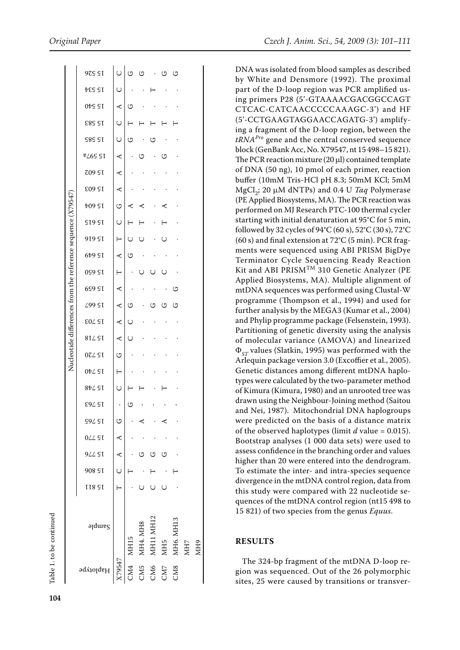|                                                             | Haplotype                 | 79547  | ${\rm CM4}$ | CM5      |           | $CMS$<br>$CMS$ | CM <sub>8</sub> |     |                 |  |
|-------------------------------------------------------------|---------------------------|--------|-------------|----------|-----------|----------------|-----------------|-----|-----------------|--|
|                                                             | <b>alqma</b> <sup>s</sup> |        | MH15        | MH4. MH8 | MH11 MH12 | MH5            | MH6. MH13       | MH7 | MH <sub>9</sub> |  |
|                                                             | <b>II8 SI</b>             | F      |             |          |           |                |                 |     |                 |  |
|                                                             | 908 SI                    | Ù      | F           |          | ŀ         |                | Н               |     |                 |  |
|                                                             | 9 <i>LL</i> SI            | ≺      |             |          |           |                |                 |     |                 |  |
|                                                             | 0 <i>LL</i> SI            | ≺      |             |          |           |                |                 |     |                 |  |
|                                                             | 992 ST                    | G      |             |          |           |                |                 |     |                 |  |
|                                                             | <b>897 SI</b>             | 1      | ↺           | l        |           |                |                 |     |                 |  |
|                                                             | 87Z SI                    | Ò      |             |          |           |                |                 |     |                 |  |
|                                                             | 07 Z ST                   | ⊢      |             |          |           |                |                 |     |                 |  |
|                                                             | 077 SI                    | ↺      |             |          |           |                |                 |     |                 |  |
| Nucleotide differences from the reference sequence (X79547) | 81 / SI                   | ≺      |             |          |           |                |                 |     |                 |  |
|                                                             | <b>804 ST</b>             | ⋖      | Õ           |          |           |                |                 |     |                 |  |
|                                                             | ∠99 SI                    | ⋖      | ↺           |          | ט         | ↺              | ↺               |     |                 |  |
|                                                             | 699 SI                    | ⋖      |             |          |           |                | ↺               |     |                 |  |
|                                                             | 099 SI                    | ⊢      |             |          |           |                |                 |     |                 |  |
|                                                             | 679 SI                    | ≺      | ↺           |          |           |                |                 |     |                 |  |
|                                                             | 919 SI                    | ⊢      | ◡           |          |           | U              |                 |     |                 |  |
|                                                             | SI9 SI                    | Ò      |             |          |           |                |                 |     |                 |  |
|                                                             | 409 SI                    | G      |             |          |           |                |                 |     |                 |  |
|                                                             | <b>EO9 SI</b>             | ≺      |             |          |           |                |                 |     |                 |  |
|                                                             | 709 SI                    | ⋖      |             |          |           |                |                 |     |                 |  |
|                                                             | e∠6S SI                   | ⋖      |             | ט        |           | ↺              |                 |     |                 |  |
|                                                             | <b>989 ST</b>             | Ò      | ↺           |          | ↺         |                |                 |     |                 |  |
|                                                             | <b>885 SI</b>             | Ò      |             |          | F         |                | F               |     |                 |  |
|                                                             | ዐቅሪ ሪΙ                    | ≺      | ↺           |          |           |                |                 |     |                 |  |
|                                                             | <b>PES SI</b>             | Ù      |             |          |           |                |                 |     |                 |  |
|                                                             | 97S SI                    | $\cup$ | U           | ↺        |           | უ              | ↺               |     |                 |  |

DNA was isolated from blood samples as described by White and Densmore (1992). The proximal part of the D-loop region was PCR amplified us ing primers P28 (5' -GTAAAACGACGGCCAGT CTCAC-CATCAACCCCCAAAGC-3') and HF (5'-CCTGAAGTAGGAACCAGATG-3') amplify ing a fragment of the D-loop region, between the *tRNAPro* gene and the central conserved sequence block (GenBank Acc, No. X79547, nt 15 498–15 821). The PCR reaction mixture (20 µl) contained template of DNA (50 ng), 10 pmol of each primer, reaction buffer (10mM Tris-HCl pH 8.3; 50mM KCl; 5mM MgCl <sup>2</sup>; 20 µM dNTPs) and 0.4 U *Taq* Polymerase (PE Applied Biosystems, MA). The PCR reaction was performed on MJ Research PTC -100 thermal cycler starting with initial denaturation at 95°C for 5 min, followed by 32 cycles of 94°C (60 s), 52°C (30 s), 72°C  $(60 s)$  and final extension at  $72^{\circ}$ C  $(5 min)$ . PCR fragments were sequenced using ABI PRISM BigDye Terminator Cycle Sequencing Ready Reaction Kit and ABI PRISM<sup>TM</sup> 310 Genetic Analyzer (PE Applied Biosystems, MA). Multiple alignment of mtDNA sequences was performed using Clustal-W programme (Thompson et al., 1994) and used for further analysis by the MEGA3 (Kumar et al., 2004) and Phylip programme package (Felsenstein, 1993). Partitioning of genetic diversity using the analysis of molecular variance (AMOVA) and linearized Φ*ST* values (Slatkin, 1995) was performed with the Arlequin package version 3.0 (Excoffier et al., 2005). Genetic distances among different mtDNA haplo types were calculated by the two-parameter method of Kimura (Kimura, 1980) and an unrooted tree was drawn using the Neighbour-Joining method (Saitou and Nei, 1987). Mitochondrial DNA haplogroups were predicted on the basis of a distance matrix of the observed haplotypes (limit *d* value = 0.015). Bootstrap analyses (1 000 data sets) were used to assess confidence in the branching order and values higher than 20 were entered into the dendrogram. To estimate the inter- and intra-species sequence divergence in the mtDNA control region, data from this study were compared with 22 nucleotide se quences of the mtDNA control region (nt15 498 to 15 821) of two species from the genus *Equus* .

# **RESUI**

The 324-bp fragment of the mtDNA D-loop re gion was sequenced. Out of the 26 polymorphic sites, 25 were caused by transitions or transver -

Table 1. to be continued

Table 1. to be continued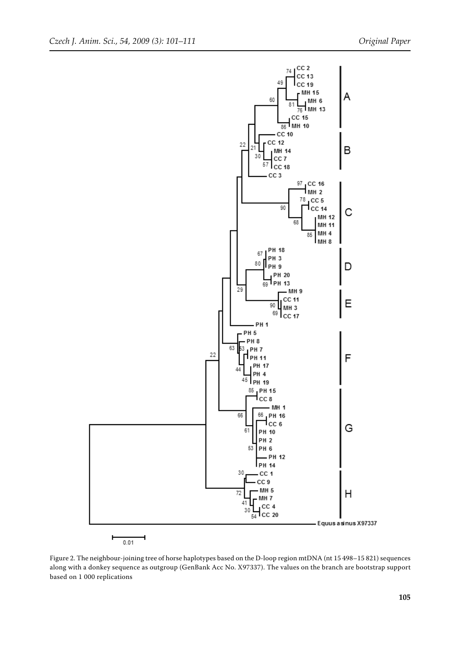

Figure 2. The neighbour-joining tree of horse haplotypes based on the D-loop region mtDNA (nt 15 498–15 821) sequences along with a donkey sequence as outgroup (GenBank Acc No. X97337). The values on the branch are bootstrap support based on 1 000 replications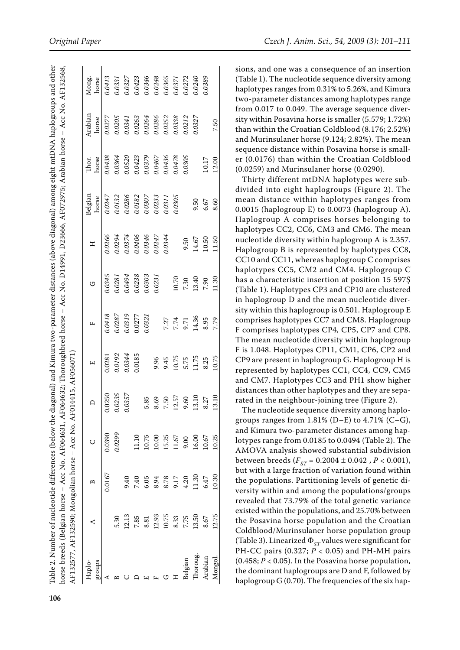| Table 2. Number of nucleotide differences (below the diagonal) and Kimura two-parameter distances (above diagonal) among eight mtDNA haplogroups and other | F064632; Thoroughbred horse – Acc No. D14991, D23666, AF072975; Arabian horse – Acc No. AF132568, |                                                   |
|------------------------------------------------------------------------------------------------------------------------------------------------------------|---------------------------------------------------------------------------------------------------|---------------------------------------------------|
|                                                                                                                                                            |                                                                                                   | 014415. AF056071)                                 |
|                                                                                                                                                            |                                                                                                   | AF132577. AF132590: Mongolian horse – Acc No. AFC |
|                                                                                                                                                            | norse breeds (Belgian horse - Acc No. AF064631                                                    |                                                   |

| AF132577, AF132590; Mongolian horse - Acc No. AF014415, AF056071, |       |        |        |        |        |        |        | horse breeds (Belgian horse – Acc No. AF064631, AF064632; Thoroughbred horse – Acc No. D14991, D23666, AF072975; Arabian horse – Acc No. AF132568, |                  |                |                  |                |
|-------------------------------------------------------------------|-------|--------|--------|--------|--------|--------|--------|----------------------------------------------------------------------------------------------------------------------------------------------------|------------------|----------------|------------------|----------------|
| Haplo-<br>groups                                                  |       | ≃      |        | $\Box$ | щ      | щ      | U      | Ξ                                                                                                                                                  | Belgian<br>horse | horse<br>Thor. | Arabian<br>horse | Mong.<br>horse |
|                                                                   |       | 0.0167 | 0.0390 | 0250   | 0.0281 | 0.0418 | 0.0345 | 0.0266                                                                                                                                             | 0.0247           | 0.0438         | 0.0277           | 0.0413         |
|                                                                   | 5.30  |        | 0299   | 1.0235 | 0.0192 | 0.0287 | 0.0281 | 0.0294                                                                                                                                             | 0.0132           | 0.0364         | 0.0205           | 0.0331         |
|                                                                   | 12.13 | 9.40   |        | .0357  | 0.0344 | 0.0319 | 0.0494 | 0.0374                                                                                                                                             | 0.0286           | 0.0520         | 0.0341           | 0.0327         |
|                                                                   | 7.85  | 7.40   | 1.10   |        | 0.0185 | 0.0277 | 0.0238 | 0.0406                                                                                                                                             | 0.0182           | 0.0423         | 0.0263           | 0.0423         |
|                                                                   | 8.81  | 6.05   | 10.75  | 5.85   |        | 0.0321 | 0.0303 | 0.0346                                                                                                                                             | 0.0307           | 0.0379         | 0.0264           | 0.0346         |
|                                                                   | 12.93 | 8.94   | 10.00  | 8.69   | 9.96   |        | 0.0231 | 0.0247                                                                                                                                             | 0.0233           | 0.0467         | 0.0286           | 0.0248         |
|                                                                   | 10.75 | 8.78   | 15.25  | 7.50   | 9.45   | 7.27   |        | 0.0344                                                                                                                                             | 0.0311           | 0.0436         | 0.0252           | 0.0365         |
|                                                                   | 8.33  | 9.17   | 11.67  | 12.57  | 10.75  | 7.74   | 10.70  |                                                                                                                                                    | 0.0305           | 0.0478         | 0.0338           | 0.0371         |
| Belgian                                                           | 7.75  | 4.20   | 9.00   | 9.60   | 5.75   | 9.71   | 7.30   | 9.50                                                                                                                                               |                  | 1.0305         | 0.0212           | 0.0272         |
| Thoroug.                                                          | 13.50 | 11.30  | 16.00  | 13.10  | 11.75  | 14.36  | 13.40  | 14.67                                                                                                                                              | 9.50             |                | 0.0327           | 0.0240         |
| Arabian                                                           | 8.67  | 6.47   | 10.67  | 8.27   | 8.25   | 8.95   | 7.90   | 10.50                                                                                                                                              | 6.67             | 10.17          |                  | 0.0389         |
| Mongol.                                                           | 12.75 | 10.30  | 10.25  | 13.10  | 10.75  | 7.79   | 11.30  | 11.50                                                                                                                                              | 8.60             | 12.00          | 7.50             |                |

sions, and one was a consequence of an insertion (Table 1). The nucleotide sequence diversity among haplotypes ranges from 0.31% to 5.26%, and Kimura two-parameter distances among haplotypes range from 0.017 to 0.049. The average sequence diversity within Posavina horse is smaller (5.579; 1.72%) than within the Croatian Coldblood (8.176; 2.52%) and Murinsulaner horse (9.124; 2.82%). The mean sequence distance within Posavina horse is smaller (0.0176) than within the Croatian Coldblood (0.0259) and Murinsulaner horse (0.0290).

Thirty different mtDNA haplotypes were subdivided into eight haplogroups (Figure 2). The mean distance within haplotypes ranges from 0.0015 (haplogroup E) to 0.0073 (haplogroup A). Haplogroup A comprises horses belonging to haplotypes CC2, CC6, CM3 and CM6. The mean nucleotide diversity within haplogroup A is 2.357. Haplogroup B is represented by haplotypes CC8, CC10 and CC11, whereas haplogroup C comprises haplotypes CC5, CM2 and CM4. Haplogroup C has a characteristic insertion at position 15 597Ş (Table 1). Haplotypes CP3 and CP10 are clustered in haplogroup D and the mean nucleotide diversity within this haplogroup is 0.501. Haplogroup E comprises haplotypes CC7 and CM8. Haplogroup F comprises haplotypes CP4, CP5, CP7 and CP8. The mean nucleotide diversity within haplogroup F is 1.048. Haplotypes CP11, CM1, CP6, CP2 and CP9 are present in haplogroup G. Haplogroup H is represented by haplotypes CC1, CC4, CC9, CM5 and CM7. Haplotypes CC3 and PH1 show higher distances than other haplotypes and they are separated in the neighbour-joining tree (Figure 2).

The nucleotide sequence diversity among haplogroups ranges from  $1.81\%$  (D–E) to  $4.71\%$  (C–G), and Kimura two-parameter distances among haplotypes range from 0.0185 to 0.0494 (Table 2). The AMOVA analysis showed substantial subdivision between breeds ( $F_{ST}$  = 0.2004  $\pm$  0.042, *P* < 0.001), but with a large fraction of variation found within the populations. Partitioning levels of genetic diversity within and among the populations/groups revealed that 73.79% of the total genetic variance existed within the populations, and 25.70% between the Posavina horse population and the Croatian Coldblood/Murinsulaner horse population group (Table 3). Linearized  $\Phi_{ST}$  values were significant for PH-CC pairs (0.327; *P* < 0.05) and PH-MH pairs (0.458; *P* < 0.05). In the Posavina horse population, the dominant haplogroups are D and F, followed by haplogroup G (0.70). The frequencies of the six hap-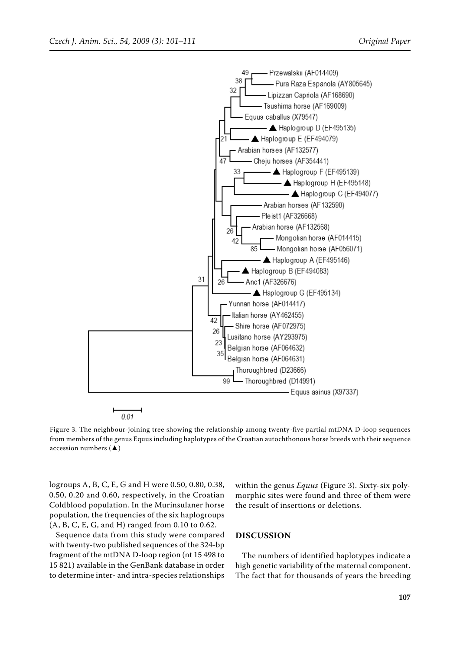

Figure 3. The neighbour-joining tree showing the relationship among twenty-five partial mtDNA D-loop sequences from members of the genus Equus including haplotypes of the Croatian autochthonous horse breeds with their sequence accession numbers (▲)

logroups A, B, C, E, G and H were 0.50, 0.80, 0.38, 0.50, 0.20 and 0.60, respectively, in the Croatian Coldblood population. In the Murinsulaner horse population, the frequencies of the six haplogroups (A, B, C, E, G, and H) ranged from 0.10 to 0.62.

Sequence data from this study were compared with twenty-two published sequences of the 324-bp fragment of the mtDNA D-loop region (nt 15 498 to 15 821) available in the GenBank database in order to determine inter- and intra-species relationships within the genus *Equus* (Figure 3). Sixty-six polymorphic sites were found and three of them were the result of insertions or deletions.

### **DISCUSSION**

The numbers of identified haplotypes indicate a high genetic variability of the maternal component. The fact that for thousands of years the breeding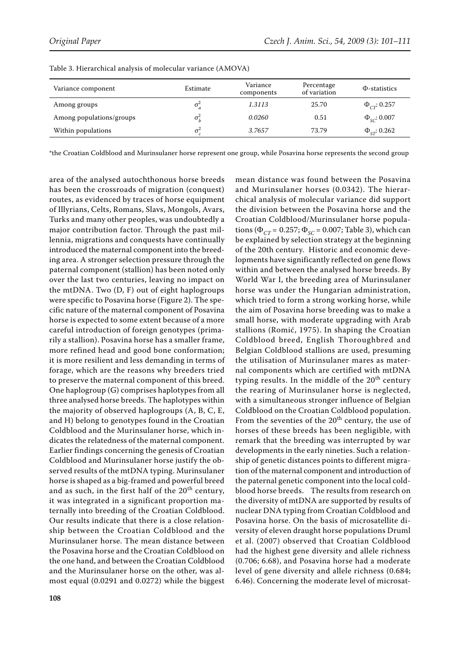| Variance component       | Estimate              | Variance<br>components | Percentage<br>of variation | $\Phi$ -statistics     |
|--------------------------|-----------------------|------------------------|----------------------------|------------------------|
| Among groups             | $\sigma$ <sup>-</sup> | 1.3113                 | 25.70                      | $\Phi_{CT}$ : 0.257    |
| Among populations/groups | $\sigma_h^2$          | 0.0260                 | 0.51                       | $\Phi_{\rm gc}: 0.007$ |
| Within populations       | $\sigma^2$            | 3.7657                 | 73.79                      | $\Phi_{cr}: 0.262$     |

Table 3. Hierarchical analysis of molecular variance (AMOVA)

\*the Croatian Coldblood and Murinsulaner horse represent one group, while Posavina horse represents the second group

area of the analysed autochthonous horse breeds has been the crossroads of migration (conquest) routes, as evidenced by traces of horse equipment of Illyrians, Celts, Romans, Slavs, Mongols, Avars, Turks and many other peoples, was undoubtedly a major contribution factor. Through the past millennia, migrations and conquests have continually introduced the maternal component into the breeding area. A stronger selection pressure through the paternal component (stallion) has been noted only over the last two centuries, leaving no impact on the mtDNA. Two (D, F) out of eight haplogroups were specific to Posavina horse (Figure 2). The specific nature of the maternal component of Posavina horse is expected to some extent because of a more careful introduction of foreign genotypes (primarily a stallion). Posavina horse has a smaller frame, more refined head and good bone conformation; it is more resilient and less demanding in terms of forage, which are the reasons why breeders tried to preserve the maternal component of this breed. One haplogroup (G) comprises haplotypes from all three analysed horse breeds. The haplotypes within the majority of observed haplogroups (A, B, C, E, and H) belong to genotypes found in the Croatian Coldblood and the Murinsulaner horse, which indicates the relatedness of the maternal component. Earlier findings concerning the genesis of Croatian Coldblood and Murinsulaner horse justify the observed results of the mtDNA typing. Murinsulaner horse is shaped as a big-framed and powerful breed and as such, in the first half of the  $20<sup>th</sup>$  century, it was integrated in a significant proportion maternally into breeding of the Croatian Coldblood. Our results indicate that there is a close relationship between the Croatian Coldblood and the Murinsulaner horse. The mean distance between the Posavina horse and the Croatian Coldblood on the one hand, and between the Croatian Coldblood and the Murinsulaner horse on the other, was almost equal (0.0291 and 0.0272) while the biggest

mean distance was found between the Posavina and Murinsulaner horses (0.0342). The hierarchical analysis of molecular variance did support the division between the Posavina horse and the Croatian Coldblood/Murinsulaner horse populations ( $\Phi_{CT}$  = 0.257;  $\Phi_{SC}$  = 0.007; Table 3), which can be explained by selection strategy at the beginning of the 20th century. Historic and economic developments have significantly reflected on gene flows within and between the analysed horse breeds. By World War I, the breeding area of Murinsulaner horse was under the Hungarian administration, which tried to form a strong working horse, while the aim of Posavina horse breeding was to make a small horse, with moderate upgrading with Arab stallions (Romić, 1975). In shaping the Croatian Coldblood breed, English Thoroughbred and Belgian Coldblood stallions are used, presuming the utilisation of Murinsulaner mares as maternal components which are certified with mtDNA typing results. In the middle of the 20<sup>th</sup> century the rearing of Murinsulaner horse is neglected, with a simultaneous stronger influence of Belgian Coldblood on the Croatian Coldblood population. From the seventies of the  $20<sup>th</sup>$  century, the use of horses of these breeds has been negligible, with remark that the breeding was interrupted by war developments in the early nineties. Such a relationship of genetic distances points to different migration of the maternal component and introduction of the paternal genetic component into the local coldblood horse breeds. The results from research on the diversity of mtDNA are supported by results of nuclear DNA typing from Croatian Coldblood and Posavina horse. On the basis of microsatellite diversity of eleven draught horse populations Druml et al. (2007) observed that Croatian Coldblood had the highest gene diversity and allele richness (0.706; 6.68), and Posavina horse had a moderate level of gene diversity and allele richness (0.684; 6.46). Concerning the moderate level of microsat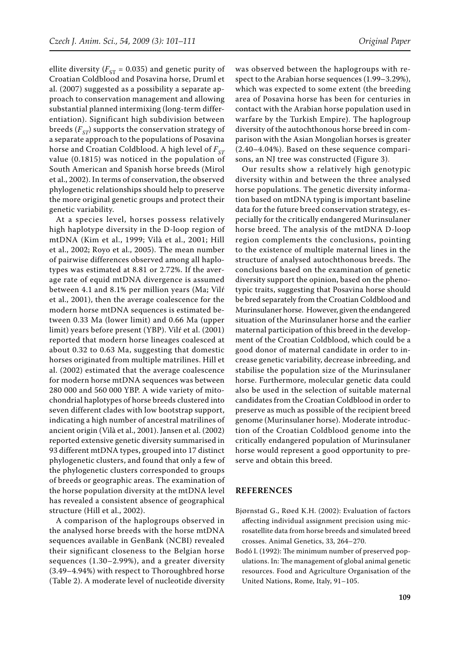ellite diversity ( $F_{ST}$  = 0.035) and genetic purity of Croatian Coldblood and Posavina horse, Druml et al. (2007) suggested as a possibility a separate approach to conservation management and allowing substantial planned intermixing (long-term differentiation). Significant high subdivision between breeds  $(F_{ST})$  supports the conservation strategy of a separate approach to the populations of Posavina horse and Croatian Coldblood. A high level of  $F_{ST}$ value (0.1815) was noticed in the population of South American and Spanish horse breeds (Mirol et al., 2002). In terms of conservation, the observed phylogenetic relationships should help to preserve the more original genetic groups and protect their genetic variability.

At a species level, horses possess relatively high haplotype diversity in the D-loop region of mtDNA (Kim et al., 1999; Vilà et al., 2001; Hill et al., 2002; Royo et al., 2005). The mean number of pairwise differences observed among all haplotypes was estimated at 8.81 or 2.72%. If the average rate of equid mtDNA divergence is assumed between 4.1 and 8.1% per million years (Ma; Vilŕ et al., 2001), then the average coalescence for the modern horse mtDNA sequences is estimated between 0.33 Ma (lower limit) and 0.66 Ma (upper limit) years before present (YBP). Vilŕ et al. (2001) reported that modern horse lineages coalesced at about 0.32 to 0.63 Ma, suggesting that domestic horses originated from multiple matrilines. Hill et al. (2002) estimated that the average coalescence for modern horse mtDNA sequences was between 280 000 and 560 000 YBP. A wide variety of mitochondrial haplotypes of horse breeds clustered into seven different clades with low bootstrap support, indicating a high number of ancestral matrilines of ancient origin (Vilà et al., 2001). Jansen et al. (2002) reported extensive genetic diversity summarised in 93 different mtDNA types, grouped into 17 distinct phylogenetic clusters, and found that only a few of the phylogenetic clusters corresponded to groups of breeds or geographic areas. The examination of the horse population diversity at the mtDNA level has revealed a consistent absence of geographical structure (Hill et al., 2002).

A comparison of the haplogroups observed in the analysed horse breeds with the horse mtDNA sequences available in GenBank (NCBI) revealed their significant closeness to the Belgian horse sequences (1.30–2.99%), and a greater diversity (3.49–4.94%) with respect to Thoroughbred horse (Table 2). A moderate level of nucleotide diversity

was observed between the haplogroups with respect to the Arabian horse sequences (1.99–3.29%), which was expected to some extent (the breeding area of Posavina horse has been for centuries in contact with the Arabian horse population used in warfare by the Turkish Empire). The haplogroup diversity of the autochthonous horse breed in comparison with the Asian Mongolian horses is greater (2.40–4.04%). Based on these sequence comparisons, an NJ tree was constructed (Figure 3).

Our results show a relatively high genotypic diversity within and between the three analysed horse populations. The genetic diversity information based on mtDNA typing is important baseline data for the future breed conservation strategy, especially for the critically endangered Murinsulaner horse breed. The analysis of the mtDNA D-loop region complements the conclusions, pointing to the existence of multiple maternal lines in the structure of analysed autochthonous breeds. The conclusions based on the examination of genetic diversity support the opinion, based on the phenotypic traits, suggesting that Posavina horse should be bred separately from the Croatian Coldblood and Murinsulaner horse. However, given the endangered situation of the Murinsulaner horse and the earlier maternal participation of this breed in the development of the Croatian Coldblood, which could be a good donor of maternal candidate in order to increase genetic variability, decrease inbreeding, and stabilise the population size of the Murinsulaner horse. Furthermore, molecular genetic data could also be used in the selection of suitable maternal candidates from the Croatian Coldblood in order to preserve as much as possible of the recipient breed genome (Murinsulaner horse). Moderate introduction of the Croatian Coldblood genome into the critically endangered population of Murinsulaner horse would represent a good opportunity to preserve and obtain this breed.

#### **REFERENCES**

- BjØrnstad G., RØed K.H. (2002): Evaluation of factors affecting individual assignment precision using microsatellite data from horse breeds and simulated breed crosses. Animal Genetics, 33, 264–270.
- Bodó I. (1992): The minimum number of preserved populations. In: The management of global animal genetic resources. Food and Agriculture Organisation of the United Nations, Rome, Italy, 91–105.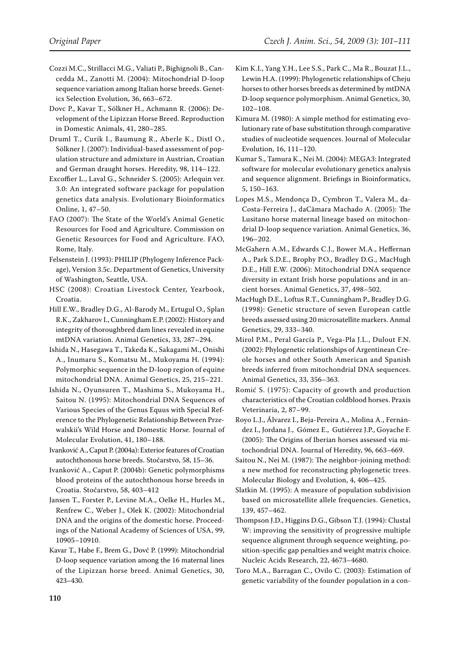- Cozzi M.C., Strillacci M.G., Valiati P., Bighignoli B., Cancedda M., Zanotti M. (2004): Mitochondrial D-loop sequence variation among Italian horse breeds. Genetics Selection Evolution, 36, 663–672.
- Dovc P., Kavar T., Sölkner H., Achmann R. (2006): Development of the Lipizzan Horse Breed. Reproduction in Domestic Animals, 41, 280–285.
- Druml T., Curik I., Baumung R., Aberle K., Distl O., Sölkner J. (2007): Individual-based assessment of population structure and admixture in Austrian, Croatian and German draught horses. Heredity, 98, 114–122.
- Excoffier L., Laval G., Schneider S. (2005): Arlequin ver. 3.0: An integrated software package for population genetics data analysis. Evolutionary Bioinformatics Online, 1, 47–50.
- FAO (2007): The State of the World's Animal Genetic Resources for Food and Agriculture. Commission on Genetic Resources for Food and Agriculture. FAO, Rome, Italy.
- Felsenstein J. (1993): PHILIP (Phylogeny Inference Package), Version 3.5c. Department of Genetics, University of Washington, Seattle, USA.
- HSC (2008): Croatian Livestock Center, Yearbook, Croatia.
- Hill E.W., Bradley D.G., Al-Barody M., Ertugul O., Splan R.K., Zakharov I., Cunningham E.P. (2002): History and integrity of thoroughbred dam lines revealed in equine mtDNA variation. Animal Genetics, 33, 287–294.
- Ishida N., Hasegawa T., Takeda K., Sakagami M., Onishi A., Inumaru S., Komatsu M., Mukoyama H. (1994): Polymorphic sequence in the D-loop region of equine mitochondrial DNA. Animal Genetics, 25, 215–221.
- Ishida N., Oyunsuren T., Mashima S., Mukoyama H., Saitou N. (1995): Mitochondrial DNA Sequences of Various Species of the Genus Equus with Special Reference to the Phylogenetic Relationship Between Przewalskii's Wild Horse and Domestic Horse. Journal of Molecular Evolution, 41, 180–188.
- Ivanković A., Caput P. (2004a): Exterior features of Croatian autochthonous horse breeds. Stočarstvo, 58, 15–36.
- Ivanković A., Caput P. (2004b): Genetic polymorphisms blood proteins of the autochthonous horse breeds in Croatia. Stočarstvo, 58, 403–412
- Jansen T., Forster P., Levine M.A., Oelke H., Hurles M., Renfrew C., Weber J., Olek K. (2002): Mitochondrial DNA and the origins of the domestic horse. Proceedings of the National Academy of Sciences of USA, 99, 10905–10910.
- Kavar T., Habe F., Brem G., Dovč P. (1999): Mitochondrial D-loop sequence variation among the 16 maternal lines of the Lipizzan horse breed. Animal Genetics, 30, 423–430.
- Kim K.I., Yang Y.H., Lee S.S., Park C., Ma R., Bouzat J.L., Lewin H.A. (1999): Phylogenetic relationships of Cheju horses to other horses breeds as determined by mtDNA D-loop sequence polymorphism. Animal Genetics, 30, 102–108.
- Kimura M. (1980): A simple method for estimating evolutionary rate of base substitution through comparative studies of nucleotide sequences. Journal of Molecular Evolution, 16, 111–120.
- Kumar S., Tamura K., Nei M. (2004): MEGA3: Integrated software for molecular evolutionary genetics analysis and sequence alignment. Briefings in Bioinformatics, 5, 150–163.
- Lopes M.S., Mendonça D., Cymbron T., Valera M., da-Costa-Ferreira J., daCâmara Machado A. (2005): The Lusitano horse maternal lineage based on mitochondrial D-loop sequence variation. Animal Genetics, 36, 196–202.
- McGahern A.M., Edwards C.J., Bower M.A., Heffernan A., Park S.D.E., Brophy P.O., Bradley D.G., MacHugh D.E., Hill E.W. (2006): Mitochondrial DNA sequence diversity in extant Irish horse populations and in ancient horses. Animal Genetics, 37, 498–502.
- MacHugh D.E., Loftus R.T., Cunningham P., Bradley D.G. (1998): Genetic structure of seven European cattle breeds assessed using 20 microsatellite markers. Anmal Genetics, 29, 333–340.
- Mirol P.M., Peral García P., Vega-Pla J.L., Dulout F.N. (2002): Phylogenetic relationships of Argentinean Creole horses and other South American and Spanish breeds inferred from mitochondrial DNA sequences. Animal Genetics, 33, 356–363.
- Romić S. (1975): Capacity of growth and production characteristics of the Croatian coldblood horses. Praxis Veterinaria, 2, 87–99.
- Royo L.J., Álvarez I., Beja-Pereira A., Molina A., Fernández I., Jordana J., Gómez E., Gutiérrez J.P., Goyache F. (2005): The Origins of Iberian horses assessed via mitochondrial DNA. Journal of Heredity, 96, 663–669.
- Saitou N., Nei M. (1987): The neighbor-joining method: a new method for reconstructing phylogenetic trees. Molecular Biology and Evolution, 4, 406–425.
- Slatkin M. (1995): A measure of population subdivision based on microsatellite allele frequencies. Genetics, 139, 457–462.
- Thompson J.D., Higgins D.G., Gibson T.J. (1994): Clustal W: improving the sensitivity of progressive multiple sequence alignment through sequence weighting, position-specific gap penalties and weight matrix choice. Nucleic Acids Research, 22, 4673–4680.
- Toro M.A., Barragan C., Ovilo C. (2003): Estimation of genetic variability of the founder population in a con-